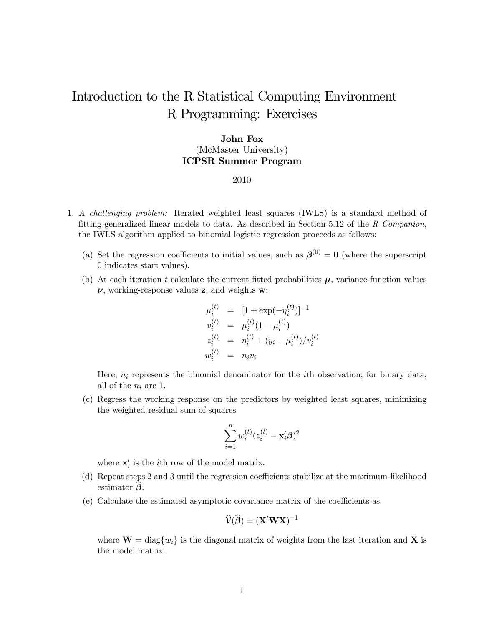# Introduction to the R Statistical Computing Environment R Programming: Exercises

## John Fox (McMaster University) ICPSR Summer Program

#### 2010

- 1. A challenging problem: Iterated weighted least squares (IWLS) is a standard method of fitting generalized linear models to data. As described in Section 5.12 of the R Companion, the IWLS algorithm applied to binomial logistic regression proceeds as follows:
	- (a) Set the regression coefficients to initial values, such as  $\beta^{(0)} = 0$  (where the superscript 0 indicates start values).
	- (b) At each iteration t calculate the current fitted probabilities  $\mu$ , variance-function values  $\nu$ , working-response values z, and weights w:

$$
\mu_i^{(t)} = [1 + \exp(-\eta_i^{(t)})]^{-1}
$$
  
\n
$$
v_i^{(t)} = \mu_i^{(t)}(1 - \mu_i^{(t)})
$$
  
\n
$$
z_i^{(t)} = \eta_i^{(t)} + (y_i - \mu_i^{(t)})/v_i^{(t)}
$$
  
\n
$$
w_i^{(t)} = n_i v_i
$$

Here,  $n_i$  represents the binomial denominator for the *i*th observation; for binary data, all of the  $n_i$  are 1.

(c) Regress the working response on the predictors by weighted least squares, minimizing the weighted residual sum of squares

$$
\sum_{i=1}^n w_i^{(t)}(z_i^{(t)} - \mathbf{x}_i'\boldsymbol{\beta})^2
$$

where  $\mathbf{x}'_i$  is the *i*<sup>th</sup> row of the model matrix.

- (d) Repeat steps 2 and 3 until the regression coefficients stabilize at the maximum-likelihood estimator  $\beta$ .
- (e) Calculate the estimated asymptotic covariance matrix of the coefficients as

$$
\widehat{\mathcal{V}}(\widehat{\boldsymbol{\beta}}) = (\mathbf{X}'\mathbf{W}\mathbf{X})^{-1}
$$

where  $\mathbf{W} = \text{diag}\{w_i\}$  is the diagonal matrix of weights from the last iteration and X is the model matrix.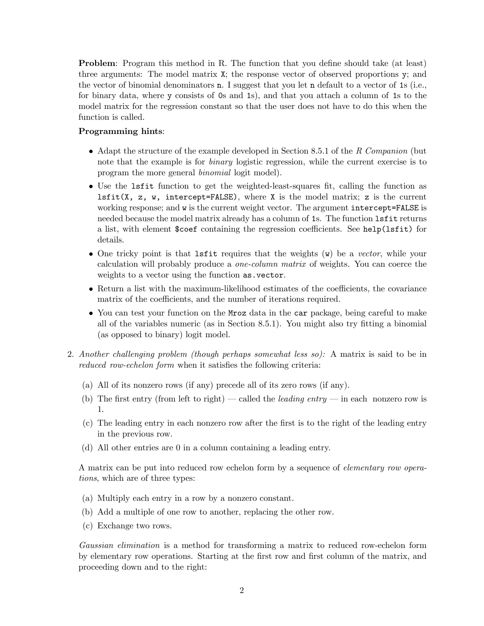Problem: Program this method in R. The function that you define should take (at least) three arguments: The model matrix X; the response vector of observed proportions y; and the vector of binomial denominators n. I suggest that you let n default to a vector of 1s (i.e., for binary data, where y consists of 0s and 1s), and that you attach a column of 1s to the model matrix for the regression constant so that the user does not have to do this when the function is called.

### Programming hints:

- Adapt the structure of the example developed in Section 8.5.1 of the R Companion (but note that the example is for *binary* logistic regression, while the current exercise is to program the more general binomial logit model).
- Use the lsfit function to get the weighted-least-squares fit, calling the function as  $lsfit(X, z, w, intercept=FALSE)$ , where X is the model matrix; z is the current working response; and w is the current weight vector. The argument intercept=FALSE is needed because the model matrix already has a column of 1s. The function lsfit returns a list, with element \$coef containing the regression coefficients. See help(lsfit) for details.
- One tricky point is that last tradition terms that the weights  $(\mathbf{w})$  be a vector, while your calculation will probably produce a one-column matrix of weights. You can coerce the weights to a vector using the function as.vector.
- Return a list with the maximum-likelihood estimates of the coefficients, the covariance matrix of the coefficients, and the number of iterations required.
- You can test your function on the Mroz data in the car package, being careful to make all of the variables numeric (as in Section 8.5.1). You might also try fitting a binomial (as opposed to binary) logit model.
- 2. Another challenging problem (though perhaps somewhat less so): A matrix is said to be in reduced row-echelon form when it satisfies the following criteria:
	- (a) All of its nonzero rows (if any) precede all of its zero rows (if any).
	- (b) The first entry (from left to right) called the *leading entry* in each nonzero row is 1.
	- (c) The leading entry in each nonzero row after the first is to the right of the leading entry in the previous row.
	- (d) All other entries are 0 in a column containing a leading entry.

A matrix can be put into reduced row echelon form by a sequence of elementary row operations, which are of three types:

- (a) Multiply each entry in a row by a nonzero constant.
- (b) Add a multiple of one row to another, replacing the other row.
- (c) Exchange two rows.

Gaussian elimination is a method for transforming a matrix to reduced row-echelon form by elementary row operations. Starting at the first row and first column of the matrix, and proceeding down and to the right: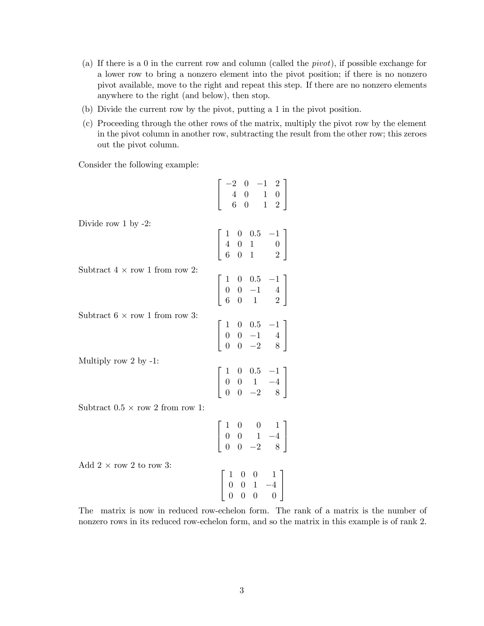- (a) If there is a 0 in the current row and column (called the pivot), if possible exchange for a lower row to bring a nonzero element into the pivot position; if there is no nonzero pivot available, move to the right and repeat this step. If there are no nonzero elements anywhere to the right (and below), then stop.
- (b) Divide the current row by the pivot, putting a 1 in the pivot position.
- (c) Proceeding through the other rows of the matrix, multiply the pivot row by the element in the pivot column in another row, subtracting the result from the other row; this zeroes out the pivot column.

Consider the following example:

|                                                 | $\left[\begin{array}{rrr} -2 & 0 & -1 & 2 \\ 4 & 0 & 1 & 0 \\ 6 & 0 & 1 & 2 \end{array}\right]$     |
|-------------------------------------------------|-----------------------------------------------------------------------------------------------------|
| Divide row $1$ by $-2$ :                        | $\left[ \begin{array}{ccc} 1 & 0 & 0.5 & -1 \\ 4 & 0 & 1 & 0 \\ 6 & 0 & 1 & 2 \end{array} \right]$  |
| Subtract $4 \times$ row 1 from row 2:           | $\left[\begin{array}{rrr} 1 & 0 & 0.5 & -1 \\ 0 & 0 & -1 & 4 \\ 6 & 0 & 1 & 2 \end{array}\right]$   |
| Subtract $6 \times \text{row} 1$ from row 3:    | $\left[\begin{array}{cccc} 1 & 0 & 0.5 & -1 \\ 0 & 0 & -1 & 4 \\ 0 & 0 & -2 & 8 \end{array}\right]$ |
| Multiply row 2 by $-1$ :                        | $\left[\begin{array}{cccc} 1 & 0 & 0.5 & -1 \\ 0 & 0 & 1 & -4 \\ 0 & 0 & -2 & 8 \end{array}\right]$ |
| Subtract $0.5 \times \text{row } 2$ from row 1: | $\begin{array}{ c c c c c } \hline 1 & 0 & 0 & 1 \\ 0 & 0 & 1 & -4 \\ 0 & 0 & -2 & 8 \end{array}$   |
| Add $2 \times \text{row } 2$ to row 3:          | $\left[ \begin{array}{cccc} 1 & 0 & 0 & 1 \\ 0 & 0 & 1 & -4 \\ 0 & 0 & 0 & 0 \end{array} \right]$   |

The matrix is now in reduced row-echelon form. The rank of a matrix is the number of nonzero rows in its reduced row-echelon form, and so the matrix in this example is of rank 2.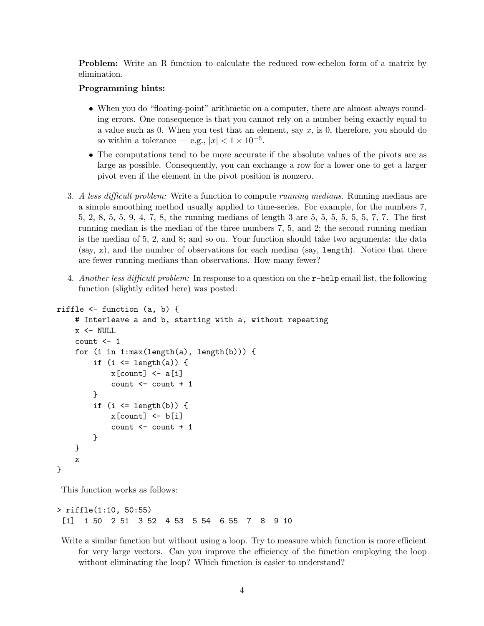Problem: Write an R function to calculate the reduced row-echelon form of a matrix by elimination.

#### Programming hints:

- When you do "floating-point" arithmetic on a computer, there are almost always rounding errors. One consequence is that you cannot rely on a number being exactly equal to a value such as 0. When you test that an element, say  $x$ , is 0, therefore, you should do so within a tolerance – e.g.,  $|x| < 1 \times 10^{-6}$ .
- The computations tend to be more accurate if the absolute values of the pivots are as large as possible. Consequently, you can exchange a row for a lower one to get a larger pivot even if the element in the pivot position is nonzero.
- 3. A less difficult problem: Write a function to compute running medians. Running medians are a simple smoothing method usually applied to time-series. For example, for the numbers 7, 5, 2, 8, 5, 5, 9, 4, 7, 8, the running medians of length 3 are 5, 5, 5, 5, 5, 5, 7, 7. The first running median is the median of the three numbers 7, 5, and 2; the second running median is the median of 5, 2, and 8; and so on. Your function should take two arguments: the data (say, x), and the number of observations for each median (say, length). Notice that there are fewer running medians than observations. How many fewer?
- 4. Another less difficult problem: In response to a question on the  $r$ -help email list, the following function (slightly edited here) was posted:

```
riffle <- function (a, b) {
    # Interleave a and b, starting with a, without repeating
    x \leftarrow \text{NULL}count <- 1
    for (i in 1:max(length(a), length(b))) {
         if (i \leq length(a)) {
             x[count] < -a[i]count \le count + 1
        }
        if (i \le length(b)) {
             x[count] < -b[i]count <- count + 1
        }
    }
    x
}
```
This function works as follows:

```
> riffle(1:10, 50:55)
 [1] 1 50 2 51 3 52 4 53 5 54 6 55 7 8 9 10
```
Write a similar function but without using a loop. Try to measure which function is more efficient for very large vectors. Can you improve the efficiency of the function employing the loop without eliminating the loop? Which function is easier to understand?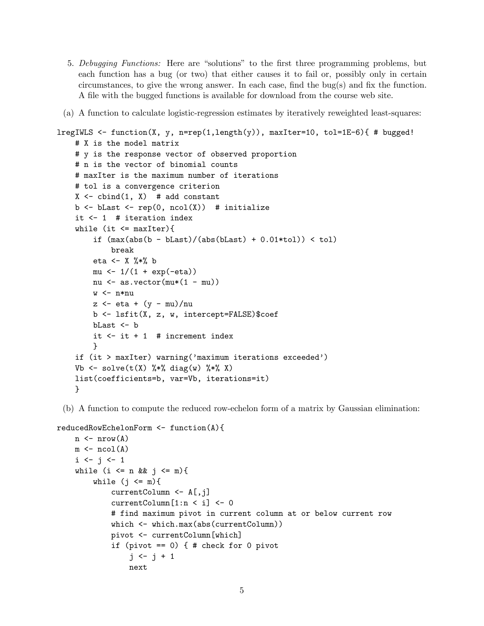- 5. Debugging Functions: Here are "solutions" to the first three programming problems, but each function has a bug (or two) that either causes it to fail or, possibly only in certain circumstances, to give the wrong answer. In each case, find the bug(s) and fix the function. A file with the bugged functions is available for download from the course web site.
- (a) A function to calculate logistic-regression estimates by iteratively reweighted least-squares:

```
lregIWLS \le function(X, y, n=rep(1,length(y)), maxIter=10, tol=1E-6){ # bugged!
    # X is the model matrix
    # y is the response vector of observed proportion
    # n is the vector of binomial counts
    # maxIter is the maximum number of iterations
    # tol is a convergence criterion
    X \leftarrow \text{cbind}(1, X) # add constant
    b \leftarrow bLast \leftarrow rep(0, ncol(X)) # initialize
    it <- 1 # iteration index
    while (it \leq maxIter){
         if (max(abs(b - blast)/(abs(blast) + 0.01*tol)) < tol)break
        eta <- X %*% b
        mu \leftarrow 1/(1 + exp(-eta))nu <- as.vector(mu*(1 - mu))
        w \leq -n * nuz \leftarrow eta + (y - mu)/nub <- lsfit(X, z, w, intercept=FALSE)$coef
        bLast <- b
        it \leftarrow it +1 # increment index
        }
    if (it > maxIter) warning('maximum iterations exceeded')
    Vb \le solve(t(X) %*% diag(w) %*% X)
    list(coefficients=b, var=Vb, iterations=it)
    }
```
(b) A function to compute the reduced row-echelon form of a matrix by Gaussian elimination:

```
reducedRowEchelonForm <- function(A){
    n \leftarrow \text{nrow}(A)m \leftarrow \text{ncol}(A)i \leftarrow j \leftarrow 1while (i \leq n && j \leq m){
         while (j \leq m) {
              currentColumn <- A[,j]
              currentColumn[1:n < i] <- 0
              # find maximum pivot in current column at or below current row
              which <- which.max(abs(currentColumn))
              pivot <- currentColumn[which]
              if (pivot == 0) \{  # check for 0 pivot \}j \leftarrow j + 1next
```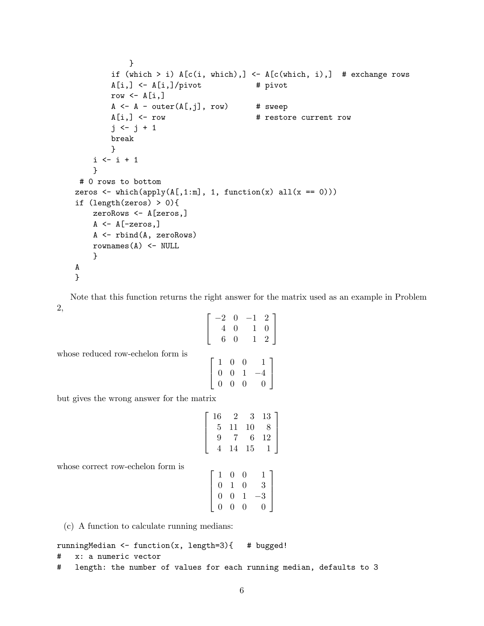```
}
        if (which > i) A[c(i, which),] <- A[c(which, i),] # exchange rows
        A[i, ] \leftarrow A[i, ]/pivot # pivot
        row \leftarrow A[i,]
        A \leftarrow A - outer(A[, j], row) # sweep
        A[i,] <- row \qquad # restore current row
        j \leftarrow j + 1break
        }
    i \leftarrow i + 1}
# 0 rows to bottom
zeros \leftarrow which(apply(A[,1:m], 1, function(x) all(x == 0)))
if (length(zeros) > 0){
    zeroRows <- A[zeros,]
    A \leftarrow A[-zeros, ]A <- rbind(A, zeroRows)
    rownames(A) <- NULL
    }
A
}
```
Note that this function returns the right answer for the matrix used as an example in Problem 2,

$$
\begin{bmatrix} -2 & 0 & -1 & 2 \ 4 & 0 & 1 & 0 \ 6 & 0 & 1 & 2 \end{bmatrix}
$$

$$
\begin{bmatrix} 1 & 0 & 0 & 1 \ 0 & 0 & 1 & -4 \ 0 & 0 & 0 & 0 \end{bmatrix}
$$

but gives the wrong answer for the matrix

whose reduced row-echelon form is

$$
\left[\begin{array}{cccc}16&2&3&13\\5&11&10&8\\9&7&6&12\\4&14&15&1\end{array}\right]
$$

whose correct row-echelon form is

| 0<br>$\mathbf{1}$        | 0            | 1 I            |
|--------------------------|--------------|----------------|
| $\theta$<br>$\mathbf{1}$ | $\theta$     | $\overline{3}$ |
| 0<br>$\overline{0}$      | $\mathbf{1}$ | $-3$           |
| 0<br>$\overline{0}$      | 0            | $\Omega$       |

(c) A function to calculate running medians:

```
runningMedian <- function(x, length=3){ # bugged!
```

```
# x: a numeric vector
```

```
# length: the number of values for each running median, defaults to 3
```